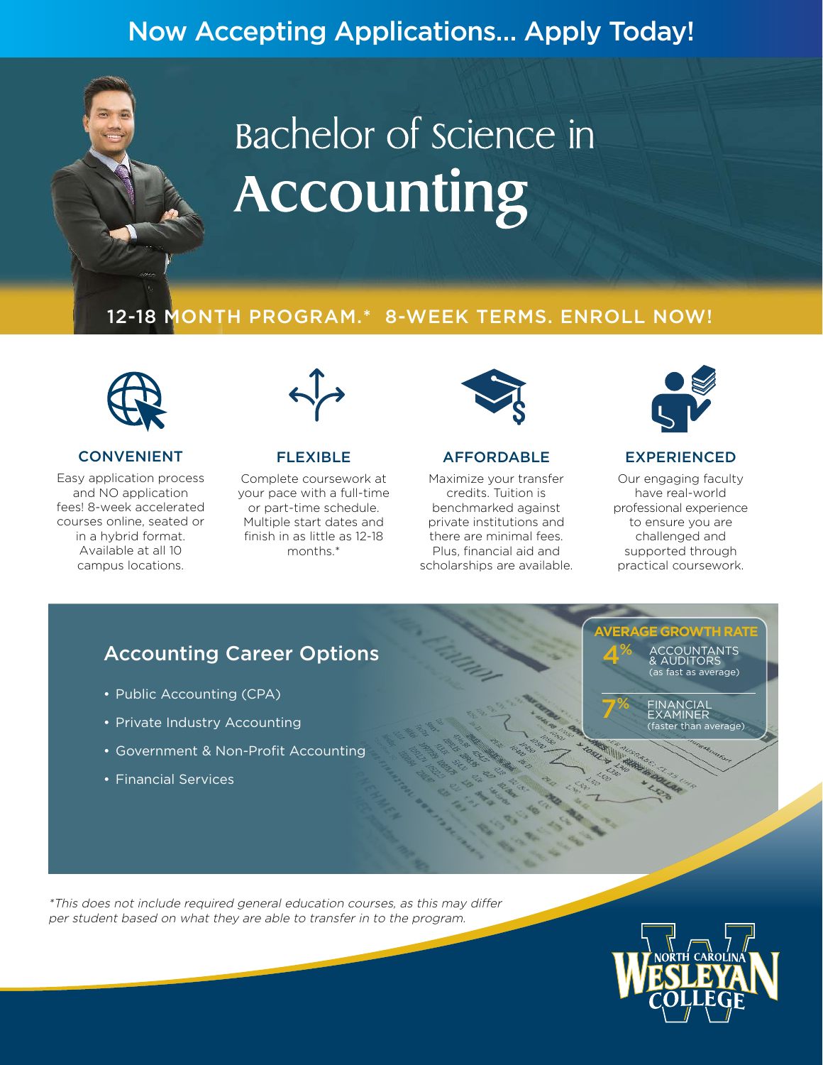# Now Accepting Applications… Apply Today!

# Bachelor of science in Accounting

# 12-18 MONTH PROGRAM.\* 8-WEEK TERMS. ENROLL NOW!



#### CONVENIENT

Easy application process and NO application fees! 8-week accelerated courses online, seated or in a hybrid format. Available at all 10 campus locations.



#### FLEXIBLE

Complete coursework at your pace with a full-time or part-time schedule. Multiple start dates and finish in as little as 12-18 months.\*



#### AFFORDABLE

Maximize your transfer credits. Tuition is benchmarked against private institutions and there are minimal fees. Plus, financial aid and scholarships are available.



#### EXPERIENCED

Our engaging faculty have real-world professional experience to ensure you are challenged and supported through practical coursework.

# Accounting Career Options

- Public Accounting (CPA)
- Private Industry Accounting
- Government & Non-Profit Accounting
- Financial Services

**E GROW** ACCOUNTANTS & AUDITORS (as fast as average) 4%

> FINANCIAL EXAMINER er than average):

7 %

\*This does not include required general education courses, as this may differ per student based on what they are able to transfer in to the program.